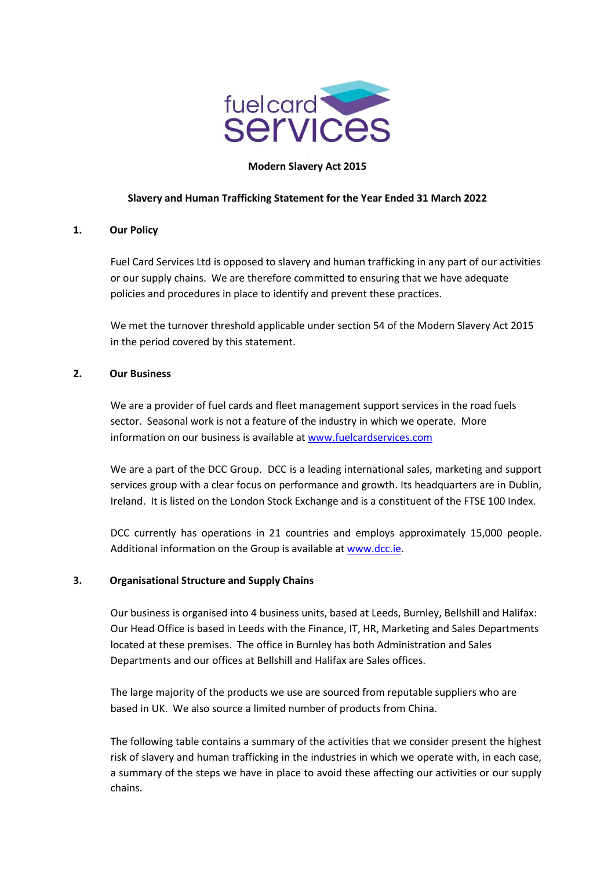

### **Modern Slavery Act 2015**

## **Slavery and Human Trafficking Statement for the Year Ended 31 March 2022**

### **1. Our Policy**

Fuel Card Services Ltd is opposed to slavery and human trafficking in any part of our activities or our supply chains. We are therefore committed to ensuring that we have adequate policies and procedures in place to identify and prevent these practices.

We met the turnover threshold applicable under section 54 of the Modern Slavery Act 2015 in the period covered by this statement.

## **2. Our Business**

We are a provider of fuel cards and fleet management support services in the road fuels sector. Seasonal work is not a feature of the industry in which we operate. More information on our business is available at [www.fuelcardservices.com](http://www.fuelcardservices.com/)

We are a part of the DCC Group. DCC is a leading international sales, marketing and support services group with a clear focus on performance and growth. Its headquarters are in Dublin, Ireland. It is listed on the London Stock Exchange and is a constituent of the FTSE 100 Index.

DCC currently has operations in 21 countries and employs approximately 15,000 people. Additional information on the Group is available at [www.dcc.ie.](http://www.dcc.ie/)

### **3. Organisational Structure and Supply Chains**

Our business is organised into 4 business units, based at Leeds, Burnley, Bellshill and Halifax: Our Head Office is based in Leeds with the Finance, IT, HR, Marketing and Sales Departments located at these premises. The office in Burnley has both Administration and Sales Departments and our offices at Bellshill and Halifax are Sales offices.

The large majority of the products we use are sourced from reputable suppliers who are based in UK. We also source a limited number of products from China.

The following table contains a summary of the activities that we consider present the highest risk of slavery and human trafficking in the industries in which we operate with, in each case, a summary of the steps we have in place to avoid these affecting our activities or our supply chains.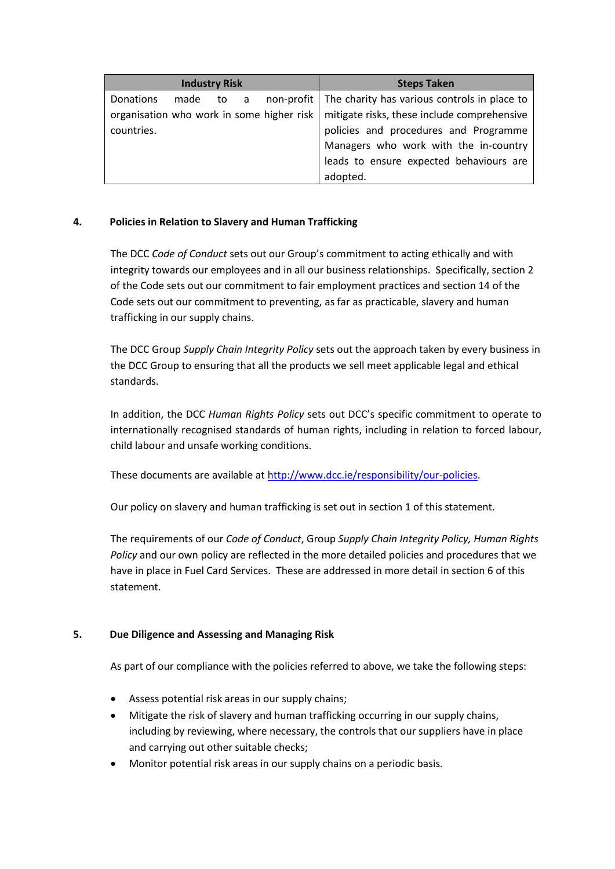| <b>Industry Risk</b>                      | <b>Steps Taken</b>                                        |
|-------------------------------------------|-----------------------------------------------------------|
| Donations<br>made to a                    | non-profit   The charity has various controls in place to |
| organisation who work in some higher risk | mitigate risks, these include comprehensive               |
| countries.                                | policies and procedures and Programme                     |
|                                           | Managers who work with the in-country                     |
|                                           | leads to ensure expected behaviours are                   |
|                                           | adopted.                                                  |

# **4. Policies in Relation to Slavery and Human Trafficking**

The DCC *Code of Conduct* sets out our Group's commitment to acting ethically and with integrity towards our employees and in all our business relationships. Specifically, section 2 of the Code sets out our commitment to fair employment practices and section 14 of the Code sets out our commitment to preventing, as far as practicable, slavery and human trafficking in our supply chains.

The DCC Group *Supply Chain Integrity Policy* sets out the approach taken by every business in the DCC Group to ensuring that all the products we sell meet applicable legal and ethical standards.

In addition, the DCC *Human Rights Policy* sets out DCC's specific commitment to operate to internationally recognised standards of human rights, including in relation to forced labour, child labour and unsafe working conditions.

These documents are available at [http://www.dcc.ie/responsibility/our-policies.](http://www.dcc.ie/responsibility/our-policies)

Our policy on slavery and human trafficking is set out in section 1 of this statement.

The requirements of our *Code of Conduct*, Group *Supply Chain Integrity Policy, Human Rights Policy* and our own policy are reflected in the more detailed policies and procedures that we have in place in Fuel Card Services. These are addressed in more detail in section 6 of this statement.

# **5. Due Diligence and Assessing and Managing Risk**

As part of our compliance with the policies referred to above, we take the following steps:

- Assess potential risk areas in our supply chains;
- Mitigate the risk of slavery and human trafficking occurring in our supply chains, including by reviewing, where necessary, the controls that our suppliers have in place and carrying out other suitable checks;
- Monitor potential risk areas in our supply chains on a periodic basis.